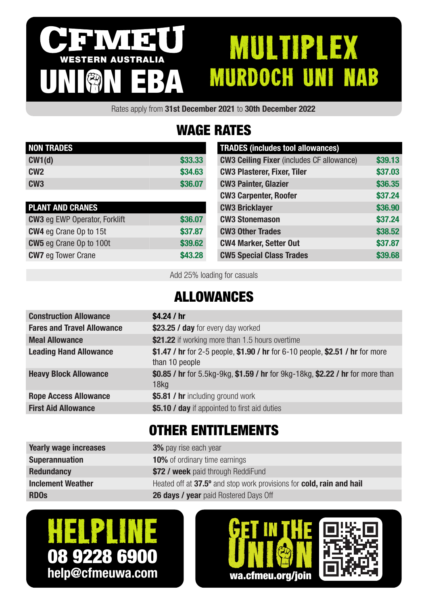#### IVI 3 MULTIPLEX WESTERN AUSTRALIA MURDOCH UNI NAB UNION EBA

Rates apply from 31st December 2021 to 30th December 2022

# WAGE RATES

| <b>NON TRADES</b> |         |
|-------------------|---------|
| CW1(d)            | \$33,33 |
| CM2               | \$34.63 |
| CW <sub>3</sub>   | \$36,07 |

| <b>PLANT AND CRANES</b>              |         |
|--------------------------------------|---------|
| <b>CW3</b> eg EWP Operator, Forklift | \$36.07 |
| <b>CW4</b> eg Crane Op to 15t        | \$37.87 |
| <b>CW5</b> eg Crane Op to 100t       | \$39.62 |
| <b>CW7</b> eg Tower Crane            | \$43.28 |

| <b>TRADES (includes tool allowances)</b>         |         |
|--------------------------------------------------|---------|
| <b>CW3 Ceiling Fixer</b> (includes CF allowance) | \$39.13 |
| <b>CW3 Plasterer, Fixer, Tiler</b>               | \$37.03 |
| <b>CW3 Painter, Glazier</b>                      | \$36.35 |
| <b>CW3 Carpenter, Roofer</b>                     | \$37.24 |
| <b>CW3 Bricklayer</b>                            | \$36.90 |
| <b>CW3 Stonemason</b>                            | \$37.24 |
| <b>CW3 Other Trades</b>                          | \$38.52 |
| <b>CW4 Marker, Setter Out</b>                    | \$37.87 |
| <b>CW5 Special Class Trades</b>                  | \$39.68 |

Add 25% loading for casuals

### ALLOWANCES

| <b>Construction Allowance</b>     | \$4.24 / $hr$                                                                                   |
|-----------------------------------|-------------------------------------------------------------------------------------------------|
| <b>Fares and Travel Allowance</b> | \$23.25 / day for every day worked                                                              |
| <b>Meal Allowance</b>             | \$21.22 if working more than 1.5 hours overtime                                                 |
| <b>Leading Hand Allowance</b>     | \$1.47 / hr for 2-5 people, \$1.90 / hr for 6-10 people, \$2.51 / hr for more<br>than 10 people |
| <b>Heavy Block Allowance</b>      | \$0.85 / hr for 5.5kg-9kg, \$1.59 / hr for 9kg-18kg, \$2.22 / hr for more than<br>$18$ kg       |
| <b>Rope Access Allowance</b>      | \$5.81 / hr including ground work                                                               |
| <b>First Aid Allowance</b>        | \$5.10 / day if appointed to first aid duties                                                   |
|                                   |                                                                                                 |

### OTHER ENTITLEMENTS

| <b>Yearly wage increases</b> | <b>3%</b> pay rise each year                                         |
|------------------------------|----------------------------------------------------------------------|
| <b>Superannuation</b>        | <b>10%</b> of ordinary time earnings                                 |
| <b>Redundancy</b>            | \$72 / week paid through ReddiFund                                   |
| <b>Inclement Weather</b>     | Heated off at 37.5° and stop work provisions for cold, rain and hail |
| <b>RDOs</b>                  | <b>26 days / year</b> paid Rostered Days Off                         |